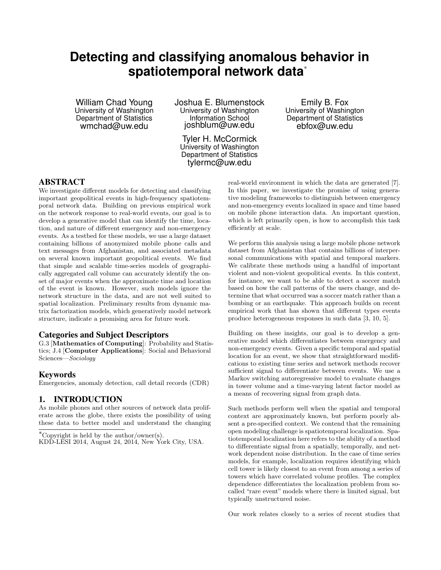# **Detecting and classifying anomalous behavior in spatiotemporal network data**<sup>∗</sup>

William Chad Young University of Washington Department of Statistics wmchad@uw.edu

Joshua E. Blumenstock University of Washington Information School joshblum@uw.edu

Tyler H. McCormick University of Washington Department of Statistics tylermc@uw.edu

Emily B. Fox University of Washington Department of Statistics ebfox@uw.edu

# ABSTRACT

We investigate different models for detecting and classifying important geopolitical events in high-frequency spatiotemporal network data. Building on previous empirical work on the network response to real-world events, our goal is to develop a generative model that can identify the time, location, and nature of different emergency and non-emergency events. As a testbed for these models, we use a large dataset containing billions of anonymized mobile phone calls and text messages from Afghanistan, and associated metadata on several known important geopolitical events. We find that simple and scalable time-series models of geographically aggregated call volume can accurately identify the onset of major events when the approximate time and location of the event is known. However, such models ignore the network structure in the data, and are not well suited to spatial localization. Preliminary results from dynamic matrix factorization models, which generatively model network structure, indicate a promising area for future work.

#### Categories and Subject Descriptors

G.3 [Mathematics of Computing]: Probability and Statistics; J.4 [Computer Applications]: Social and Behavioral Sciences—Sociology

#### Keywords

Emergencies, anomaly detection, call detail records (CDR)

# 1. INTRODUCTION

As mobile phones and other sources of network data proliferate across the globe, there exists the possibility of using these data to better model and understand the changing

<sup>∗</sup>Copyright is held by the author/owner(s).

real-world environment in which the data are generated [7]. In this paper, we investigate the promise of using generative modeling frameworks to distinguish between emergency and non-emergency events localized in space and time based on mobile phone interaction data. An important question, which is left primarily open, is how to accomplish this task efficiently at scale.

We perform this analysis using a large mobile phone network dataset from Afghanistan that contains billions of interpersonal communications with spatial and temporal markers. We calibrate these methods using a handful of important violent and non-violent geopolitical events. In this context, for instance, we want to be able to detect a soccer match based on how the call patterns of the users change, and determine that what occurred was a soccer match rather than a bombing or an earthquake. This approach builds on recent empirical work that has shown that different types events produce heterogeneous responses in such data [3, 10, 5].

Building on these insights, our goal is to develop a generative model which differentiates between emergency and non-emergency events. Given a specific temporal and spatial location for an event, we show that straightforward modifications to existing time series and network methods recover sufficient signal to differentiate between events. We use a Markov switching autoregressive model to evaluate changes in tower volume and a time-varying latent factor model as a means of recovering signal from graph data.

Such methods perform well when the spatial and temporal context are approximately known, but perform poorly absent a pre-specified context. We contend that the remaining open modeling challenge is spatiotemporal localization. Spatiotemporal localization here refers to the ability of a method to differentiate signal from a spatially, temporally, and network dependent noise distribution. In the case of time series models, for example, localization requires identifying which cell tower is likely closest to an event from among a series of towers which have correlated volume profiles. The complex dependence differentiates the localization problem from socalled "rare event" models where there is limited signal, but typically unstructured noise.

Our work relates closely to a series of recent studies that

KDD-LESI 2014, August 24, 2014, New York City, USA.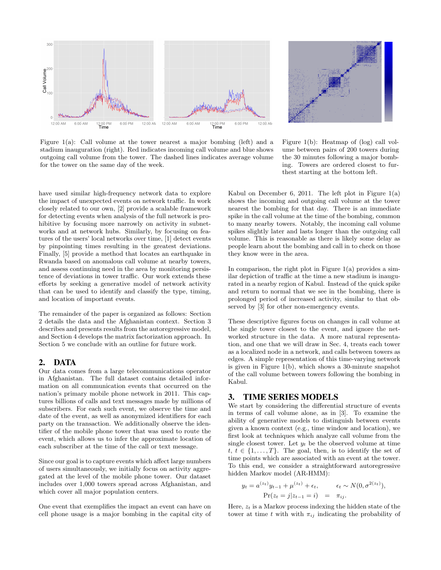

Figure 1(a): Call volume at the tower nearest a major bombing (left) and a stadium inauguration (right). Red indicates incoming call volume and blue shows outgoing call volume from the tower. The dashed lines indicates average volume for the tower on the same day of the week.



Figure 1(b): Heatmap of (log) call volume between pairs of 200 towers during the 30 minutes following a major bombing. Towers are ordered closest to furthest starting at the bottom left.

have used similar high-frequency network data to explore the impact of unexpected events on network traffic. In work closely related to our own, [2] provide a scalable framework for detecting events when analysis of the full network is prohibitive by focusing more narrowly on activity in subnetworks and at network hubs. Similarly, by focusing on features of the users' local networks over time, [1] detect events by pinpointing times resulting in the greatest deviations. Finally, [5] provide a method that locates an earthquake in Rwanda based on anomalous call volume at nearby towers, and assess continuing need in the area by monitoring persistence of deviations in tower traffic. Our work extends these efforts by seeking a generative model of network activity that can be used to identify and classify the type, timing, and location of important events.

The remainder of the paper is organized as follows: Section 2 details the data and the Afghanistan context. Section 3 describes and presents results from the autoregressive model, and Section 4 develops the matrix factorization approach. In Section 5 we conclude with an outline for future work.

#### 2. DATA

Our data comes from a large telecommunications operator in Afghanistan. The full dataset contains detailed information on all communication events that occurred on the nation's primary mobile phone network in 2011. This captures billions of calls and text messages made by millions of subscribers. For each such event, we observe the time and date of the event, as well as anonymized identifiers for each party on the transaction. We additionally observe the identifier of the mobile phone tower that was used to route the event, which allows us to infer the approximate location of each subscriber at the time of the call or text message.

Since our goal is to capture events which affect large numbers of users simultaneously, we initially focus on activity aggregated at the level of the mobile phone tower. Our dataset includes over 1,000 towers spread across Afghanistan, and which cover all major population centers.

One event that exemplifies the impact an event can have on cell phone usage is a major bombing in the capital city of Kabul on December 6, 2011. The left plot in Figure  $1(a)$ shows the incoming and outgoing call volume at the tower nearest the bombing for that day. There is an immediate spike in the call volume at the time of the bombing, common to many nearby towers. Notably, the incoming call volume spikes slightly later and lasts longer than the outgoing call volume. This is reasonable as there is likely some delay as people learn about the bombing and call in to check on those they know were in the area.

In comparison, the right plot in Figure  $1(a)$  provides a similar depiction of traffic at the time a new stadium is inaugurated in a nearby region of Kabul. Instead of the quick spike and return to normal that we see in the bombing, there is prolonged period of increased activity, similar to that observed by [3] for other non-emergency events.

These descriptive figures focus on changes in call volume at the single tower closest to the event, and ignore the networked structure in the data. A more natural representation, and one that we will draw in Sec. 4, treats each tower as a localized node in a network, and calls between towers as edges. A simple representation of this time-varying network is given in Figure 1(b), which shows a 30-minute snapshot of the call volume between towers following the bombing in Kabul.

#### 3. TIME SERIES MODELS

We start by considering the differential structure of events in terms of call volume alone, as in [3]. To examine the ability of generative models to distinguish between events given a known context (e.g., time window and location), we first look at techniques which analyze call volume from the single closest tower. Let  $y_t$  be the observed volume at time  $t, t \in \{1, \ldots, T\}$ . The goal, then, is to identify the set of time points which are associated with an event at the tower. To this end, we consider a straightforward autoregressive hidden Markov model (AR-HMM):

$$
y_t = a^{(z_t)} y_{t-1} + \mu^{(z_t)} + \epsilon_t, \qquad \epsilon_t \sim N(0, \sigma^{2(z_t)}),
$$
  
Pr(z\_t = j | z\_{t-1} = i) =  $\pi_{ij}$ .

Here,  $z_t$  is a Markov process indexing the hidden state of the tower at time t with with  $\pi_{ij}$  indicating the probability of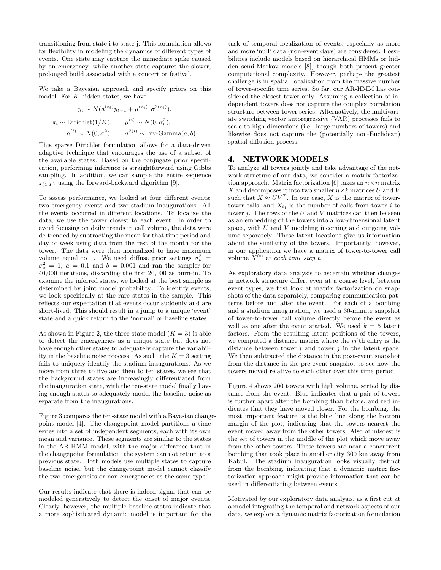transitioning from state i to state j. This formulation allows for flexibility in modeling the dynamics of different types of events. One state may capture the immediate spike caused by an emergency, while another state captures the slower, prolonged build associated with a concert or festival.

We take a Bayesian approach and specify priors on this model. For K hidden states, we have

$$
y_t \sim N(a^{(z_t)}y_{t-1} + \mu^{(z_t)}, \sigma^{2(z_t)}),
$$
  

$$
\pi_i \sim \text{Dirichlet}(1/K), \qquad \mu^{(i)} \sim N(0, \sigma^2_\mu),
$$
  

$$
a^{(i)} \sim N(0, \sigma^2_\mu), \qquad \sigma^{2(i)} \sim \text{Inv-Gamma}(a, b).
$$

This sparse Dirichlet formulation allows for a data-driven adaptive technique that encourages the use of a subset of the available states. Based on the conjugate prior specification, performing inference is straightforward using Gibbs sampling. In addition, we can sample the entire sequence  $z_{\{1:T\}}$  using the forward-backward algorithm [9].

To assess performance, we looked at four different events: two emergency events and two stadium inaugurations. All the events occurred in different locations. To localize the data, we use the tower closest to each event. In order to avoid focusing on daily trends in call volume, the data were de-trended by subtracting the mean for that time period and day of week using data from the rest of the month for the tower. The data were then normalized to have maximum volume equal to 1. We used diffuse prior settings  $\sigma_{\mu}^2 =$  $\sigma_a^2 = 1, a = 0.1$  and  $b = 0.001$  and ran the sampler for 40,000 iterations, discarding the first 20,000 as burn-in. To examine the inferred states, we looked at the best sample as determined by joint model probability. To identify events, we look specifically at the rare states in the sample. This reflects our expectation that events occur suddenly and are short-lived. This should result in a jump to a unique 'event' state and a quick return to the 'normal' or baseline states.

As shown in Figure 2, the three-state model  $(K = 3)$  is able to detect the emergencies as a unique state but does not have enough other states to adequately capture the variability in the baseline noise process. As such, the  $K = 3$  setting fails to uniquely identify the stadium inaugurations. As we move from three to five and then to ten states, we see that the background states are increasingly differentiated from the inauguration state, with the ten-state model finally having enough states to adequately model the baseline noise as separate from the inaugurations.

Figure 3 compares the ten-state model with a Bayesian changepoint model [4]. The changepoint model partitions a time series into a set of independent segments, each with its own mean and variance. These segments are similar to the states in the AR-HMM model, with the major difference that in the changepoint formulation, the system can not return to a previous state. Both models use multiple states to capture baseline noise, but the changepoint model cannot classify the two emergencies or non-emergencies as the same type.

Our results indicate that there is indeed signal that can be modeled generatively to detect the onset of major events. Clearly, however, the multiple baseline states indicate that a more sophisticated dynamic model is important for the task of temporal localization of events, especially as more and more 'null' data (non-event days) are considered. Possibilities include models based on hierarchical HMMs or hidden semi-Markov models [8], though both present greater computational complexity. However, perhaps the greatest challenge is in spatial localization from the massive number of tower-specific time series. So far, our AR-HMM has considered the closest tower only. Assuming a collection of independent towers does not capture the complex correlation structure between tower series. Alternatively, the multivariate switching vector autoregressive (VAR) processes fails to scale to high dimensions (i.e., large numbers of towers) and likewise does not capture the (potentially non-Euclidean) spatial diffusion process.

# 4. NETWORK MODELS

To analyze all towers jointly and take advantage of the network structure of our data, we consider a matrix factorization approach. Matrix factorization [6] takes an  $n \times n$  matrix X and decomposes it into two smaller  $n \times k$  matrices U and V such that  $X \approx UV^T$ . In our case, X is the matrix of towertower calls, and  $X_{ij}$  is the number of calls from tower i to tower  $j$ . The rows of the  $U$  and  $V$  matrices can then be seen as an embedding of the towers into a low-dimensional latent space, with  $U$  and  $V$  modeling incoming and outgoing volume separately. These latent locations give us information about the similarity of the towers. Importantly, however, in our application we have a matrix of tower-to-tower call volume  $X^{(t)}$  at each time step t.

As exploratory data analysis to ascertain whether changes in network structure differ, even at a coarse level, between event types, we first look at matrix factorization on snapshots of the data separately, comparing communication patterns before and after the event. For each of a bombing and a stadium inauguration, we used a 30-minute snapshot of tower-to-tower call volume directly before the event as well as one after the event started. We used  $k = 5$  latent factors. From the resulting latent positions of the towers, we computed a distance matrix where the  $ij'$ <sup>th</sup> entry is the distance between tower  $i$  and tower  $j$  in the latent space. We then subtracted the distance in the post-event snapshot from the distance in the pre-event snapshot to see how the towers moved relative to each other over this time period.

Figure 4 shows 200 towers with high volume, sorted by distance from the event. Blue indicates that a pair of towers is further apart after the bombing than before, and red indicates that they have moved closer. For the bombing, the most important feature is the blue line along the bottom margin of the plot, indicating that the towers nearest the event moved away from the other towers. Also of interest is the set of towers in the middle of the plot which move away from the other towers. These towers are near a concurrent bombing that took place in another city 300 km away from Kabul. The stadium inauguration looks visually distinct from the bombing, indicating that a dynamic matrix factorization approach might provide information that can be used in differentiating between events.

Motivated by our exploratory data analysis, as a first cut at a model integrating the temporal and network aspects of our data, we explore a dynamic matrix factorization formulation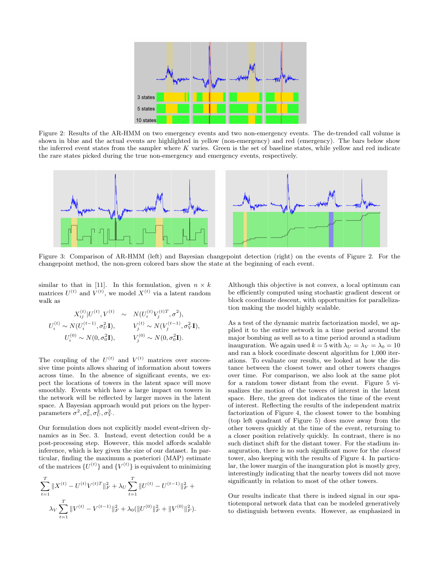

Figure 2: Results of the AR-HMM on two emergency events and two non-emergency events. The de-trended call volume is shown in blue and the actual events are highlighted in yellow (non-emergency) and red (emergency). The bars below show the inferred event states from the sampler where  $K$  varies. Green is the set of baseline states, while yellow and red indicate the rare states picked during the true non-emergency and emergency events, respectively.



Figure 3: Comparison of AR-HMM (left) and Bayesian changepoint detection (right) on the events of Figure 2. For the changepoint method, the non-green colored bars show the state at the beginning of each event.

similar to that in [11]. In this formulation, given  $n \times k$ matrices  $U^{(t)}$  and  $V^{(t)}$ , we model  $X^{(t)}$  via a latent random walk as

$$
X_{ij}^{(t)}|U^{(t)}, V^{(t)} \sim N(U_i^{(t)}V_j^{(t)T}, \sigma^2),
$$
  
\n
$$
U_i^{(t)} \sim N(U_i^{(t-1)}, \sigma_U^2 \mathbf{I}), \qquad V_j^{(t)} \sim N(V_j^{(t-1)}, \sigma_V^2 \mathbf{I}),
$$
  
\n
$$
U_i^{(0)} \sim N(0, \sigma_0^2 \mathbf{I}), \qquad V_j^{(0)} \sim N(0, \sigma_0^2 \mathbf{I}).
$$

The coupling of the  $U^{(t)}$  and  $V^{(t)}$  matrices over successive time points allows sharing of information about towers across time. In the absence of significant events, we expect the locations of towers in the latent space will move smoothly. Events which have a large impact on towers in the network will be reflected by larger moves in the latent space. A Bayesian approach would put priors on the hyperparameters  $\sigma^2, \sigma_0^2, \sigma_U^2, \sigma_V^2$ .

Our formulation does not explicitly model event-driven dynamics as in Sec. 3. Instead, event detection could be a post-processing step. However, this model affords scalable inference, which is key given the size of our dataset. In particular, finding the maximum a posteriori (MAP) estimate of the matrices  ${U^{(t)}}$  and  ${V^{(t)}}$  is equivalent to minimizing

$$
\sum_{t=1}^{T} \|X^{(t)} - U^{(t)}V^{(t)T}\|_{F}^{2} + \lambda_{U} \sum_{t=1}^{T} \|U^{(t)} - U^{(t-1)}\|_{F}^{2} + \lambda_{V} \sum_{t=1}^{T} \|V^{(t)} - V^{(t-1)}\|_{F}^{2} + \lambda_{0} (\|U^{(0)}\|_{F}^{2} + \|V^{(0)}\|_{F}^{2}).
$$

Although this objective is not convex, a local optimum can be efficiently computed using stochastic gradient descent or block coordinate descent, with opportunities for parallelization making the model highly scalable.

As a test of the dynamic matrix factorization model, we applied it to the entire network in a time period around the major bombing as well as to a time period around a stadium inauguration. We again used  $k = 5$  with  $\lambda_U = \lambda_V = \lambda_0 = 10$ and ran a block coordinate descent algorithm for 1,000 iterations. To evaluate our results, we looked at how the distance between the closest tower and other towers changes over time. For comparison, we also look at the same plot for a random tower distant from the event. Figure 5 visualizes the motion of the towers of interest in the latent space. Here, the green dot indicates the time of the event of interest. Reflecting the results of the independent matrix factorization of Figure 4, the closest tower to the bombing (top left quadrant of Figure 5) does move away from the other towers quickly at the time of the event, returning to a closer position relatively quickly. In contrast, there is no such distinct shift for the distant tower. For the stadium inauguration, there is no such significant move for the closest tower, also keeping with the results of Figure 4. In particular, the lower margin of the inauguration plot is mostly grey, interestingly indicating that the nearby towers did not move significantly in relation to most of the other towers.

Our results indicate that there is indeed signal in our spatiotemporal network data that can be modeled generatively to distinguish between events. However, as emphasized in